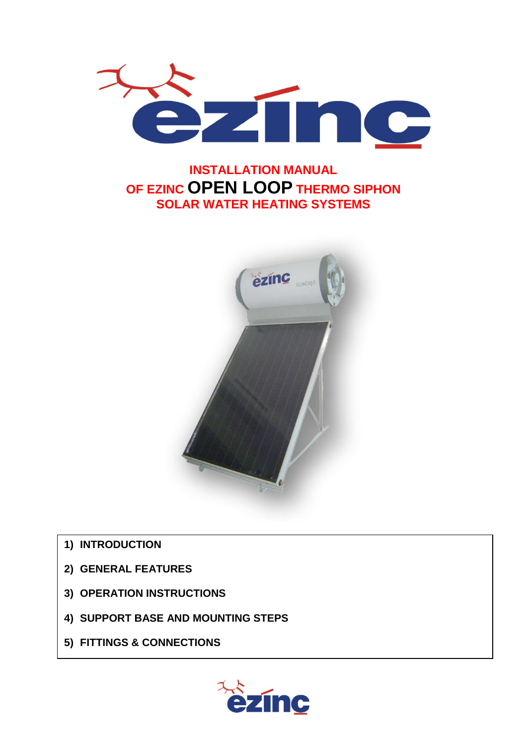

# **INSTALLATION MANUAL OF EZINC OPEN LOOP THERMO SIPHON SOLAR WATER HEATING SYSTEMS**



- **1) INTRODUCTION**
- **2) GENERAL FEATURES**
- **3) OPERATION INSTRUCTIONS**
- **4) SUPPORT BASE AND MOUNTING STEPS**
- **5) FITTINGS & CONNECTIONS**

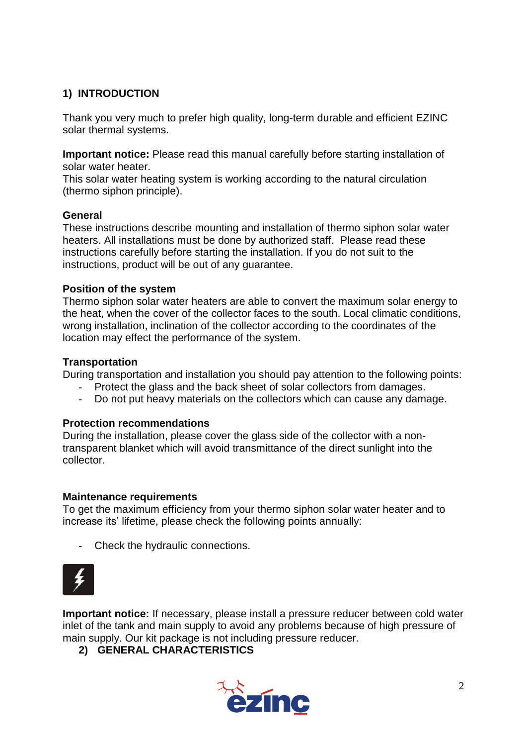### **1) INTRODUCTION**

Thank you very much to prefer high quality, long-term durable and efficient EZINC solar thermal systems.

**Important notice:** Please read this manual carefully before starting installation of solar water heater.

This solar water heating system is working according to the natural circulation (thermo siphon principle).

### **General**

These instructions describe mounting and installation of thermo siphon solar water heaters. All installations must be done by authorized staff. Please read these instructions carefully before starting the installation. If you do not suit to the instructions, product will be out of any guarantee.

### **Position of the system**

Thermo siphon solar water heaters are able to convert the maximum solar energy to the heat, when the cover of the collector faces to the south. Local climatic conditions, wrong installation, inclination of the collector according to the coordinates of the location may effect the performance of the system.

#### **Transportation**

During transportation and installation you should pay attention to the following points:

- Protect the glass and the back sheet of solar collectors from damages.
- Do not put heavy materials on the collectors which can cause any damage.

### **Protection recommendations**

During the installation, please cover the glass side of the collector with a nontransparent blanket which will avoid transmittance of the direct sunlight into the collector.

### **Maintenance requirements**

To get the maximum efficiency from your thermo siphon solar water heater and to increase its' lifetime, please check the following points annually:

- Check the hydraulic connections.



**Important notice:** If necessary, please install a pressure reducer between cold water inlet of the tank and main supply to avoid any problems because of high pressure of main supply. Our kit package is not including pressure reducer.

### **2) GENERAL CHARACTERISTICS**

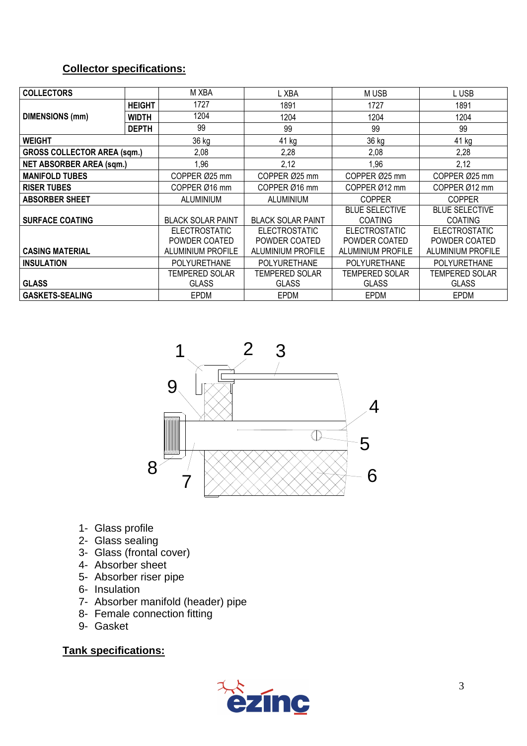# **Collector specifications:**

| <b>COLLECTORS</b>                  |               | M XBA                    | L XBA                    | M USB                                   | L USB                                   |
|------------------------------------|---------------|--------------------------|--------------------------|-----------------------------------------|-----------------------------------------|
|                                    | <b>HEIGHT</b> | 1727                     | 1891                     | 1727                                    | 1891                                    |
| <b>DIMENSIONS (mm)</b>             | <b>WIDTH</b>  | 1204                     | 1204                     | 1204                                    | 1204                                    |
|                                    | <b>DEPTH</b>  | 99                       | 99                       | 99                                      | 99                                      |
| <b>WEIGHT</b>                      |               | 36 kg                    | 41 kg                    | 36 kg                                   | 41 kg                                   |
| <b>GROSS COLLECTOR AREA (sqm.)</b> |               | 2,08                     | 2,28                     | 2,08                                    | 2,28                                    |
| <b>NET ABSORBER AREA (sqm.)</b>    |               | 1,96                     | 2,12                     | 1,96                                    | 2,12                                    |
| <b>MANIFOLD TUBES</b>              |               | COPPER Ø25 mm            | COPPER Ø25 mm            | COPPER Ø25 mm                           | COPPER Ø25 mm                           |
| <b>RISER TUBES</b>                 |               | COPPER Ø16 mm            | COPPER Ø16 mm            | COPPER Ø12 mm                           | COPPER Ø12 mm                           |
| <b>ABSORBER SHEET</b>              |               | <b>ALUMINIUM</b>         | ALUMINIUM                | <b>COPPER</b>                           | <b>COPPER</b>                           |
| <b>SURFACE COATING</b>             |               | <b>BLACK SOLAR PAINT</b> | <b>BLACK SOLAR PAINT</b> | <b>BLUE SELECTIVE</b><br><b>COATING</b> | <b>BLUE SELECTIVE</b><br><b>COATING</b> |
|                                    |               | <b>ELECTROSTATIC</b>     | <b>ELECTROSTATIC</b>     | <b>ELECTROSTATIC</b>                    | <b>ELECTROSTATIC</b>                    |
|                                    |               | POWDER COATED            | POWDER COATED            | POWDER COATED                           | POWDER COATED                           |
| <b>CASING MATERIAL</b>             |               | <b>ALUMINIUM PROFILE</b> | <b>ALUMINIUM PROFILE</b> | <b>ALUMINIUM PROFILE</b>                | <b>ALUMINIUM PROFILE</b>                |
| <b>INSULATION</b>                  |               | <b>POLYURETHANE</b>      | <b>POLYURETHANE</b>      | <b>POLYURETHANE</b>                     | <b>POLYURETHANE</b>                     |
|                                    |               | TEMPERED SOLAR           | TEMPERED SOLAR           | TEMPERED SOLAR                          | <b>TEMPERED SOLAR</b>                   |
| <b>GLASS</b>                       |               | <b>GLASS</b>             | <b>GLASS</b>             | <b>GLASS</b>                            | <b>GLASS</b>                            |
| <b>GASKETS-SEALING</b>             |               | <b>EPDM</b>              | <b>EPDM</b>              | <b>EPDM</b>                             | <b>EPDM</b>                             |



- 1- Glass profile
- 2- Glass sealing
- 3- Glass (frontal cover)
- 4- Absorber sheet
- 5- Absorber riser pipe
- 6- Insulation
- 7- Absorber manifold (header) pipe
- 8- Female connection fitting
- 9- Gasket

### **Tank specifications:**

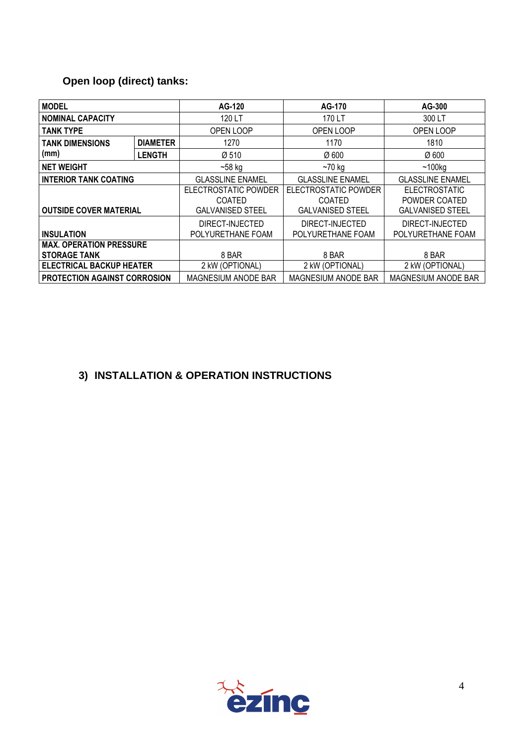# **Open loop (direct) tanks:**

| <b>MODEL</b>                                          |               | AG-120                                                           | AG-170                                                           | AG-300                                                           |
|-------------------------------------------------------|---------------|------------------------------------------------------------------|------------------------------------------------------------------|------------------------------------------------------------------|
| <b>NOMINAL CAPACITY</b>                               |               | 120 LT                                                           | 170 LT                                                           | 300 LT                                                           |
| <b>TANK TYPE</b>                                      |               | OPEN LOOP                                                        | OPEN LOOP                                                        | OPEN LOOP                                                        |
| <b>DIAMETER</b><br><b>TANK DIMENSIONS</b>             |               | 1270                                                             | 1170                                                             | 1810                                                             |
| (mm)                                                  | <b>LENGTH</b> | Ø 510                                                            | Ø 600                                                            | $\varnothing$ 600                                                |
| <b>NET WEIGHT</b>                                     |               | $-58$ kg                                                         | $~1$ 70 kg                                                       | ~100kg                                                           |
| <b>INTERIOR TANK COATING</b>                          |               | <b>GLASSLINE ENAMEL</b>                                          | <b>GLASSLINE ENAMEL</b>                                          | <b>GLASSLINE ENAMEL</b>                                          |
| <b>OUTSIDE COVER MATERIAL</b>                         |               | ELECTROSTATIC POWDER<br><b>COATED</b><br><b>GALVANISED STEEL</b> | ELECTROSTATIC POWDER<br><b>COATED</b><br><b>GALVANISED STEEL</b> | <b>ELECTROSTATIC</b><br>POWDER COATED<br><b>GALVANISED STEEL</b> |
| <b>INSULATION</b>                                     |               | DIRECT-INJECTED<br>POLYURETHANE FOAM                             | DIRECT-INJECTED<br>POLYURETHANE FOAM                             | DIRECT-INJECTED<br>POLYURETHANE FOAM                             |
| <b>MAX. OPERATION PRESSURE</b><br><b>STORAGE TANK</b> |               | 8 BAR                                                            | 8 BAR                                                            | 8 BAR                                                            |
| <b>ELECTRICAL BACKUP HEATER</b>                       |               | 2 kW (OPTIONAL)                                                  | 2 kW (OPTIONAL)                                                  | 2 kW (OPTIONAL)                                                  |
| <b>PROTECTION AGAINST CORROSION</b>                   |               | MAGNESIUM ANODE BAR                                              | MAGNESIUM ANODE BAR                                              | MAGNESIUM ANODE BAR                                              |

# **3) INSTALLATION & OPERATION INSTRUCTIONS**

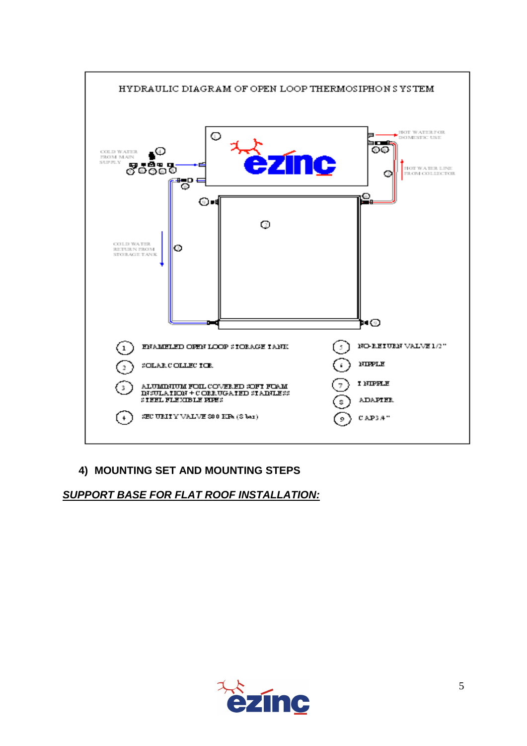

### **4) MOUNTING SET AND MOUNTING STEPS**

### *SUPPORT BASE FOR FLAT ROOF INSTALLATION:*

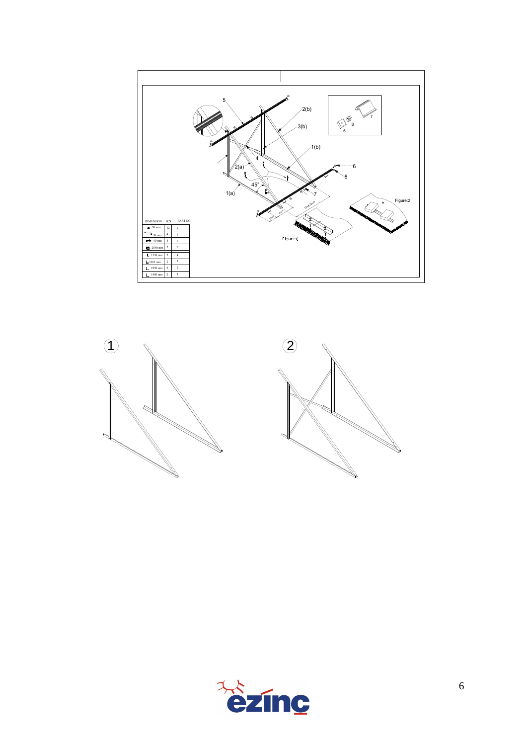



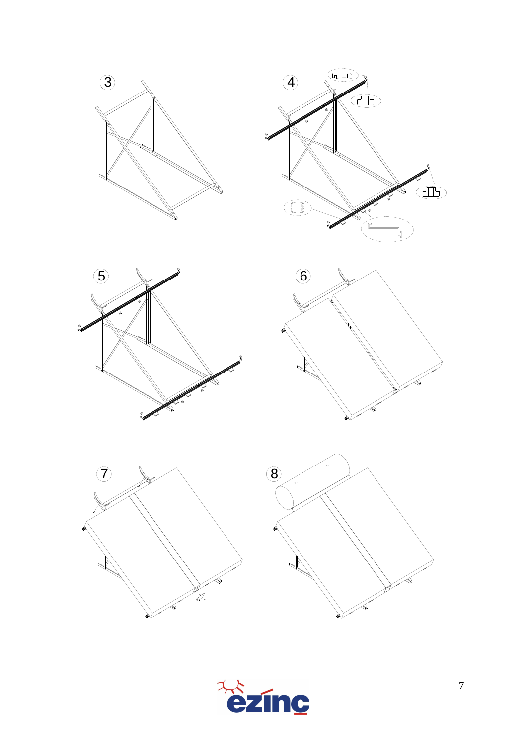











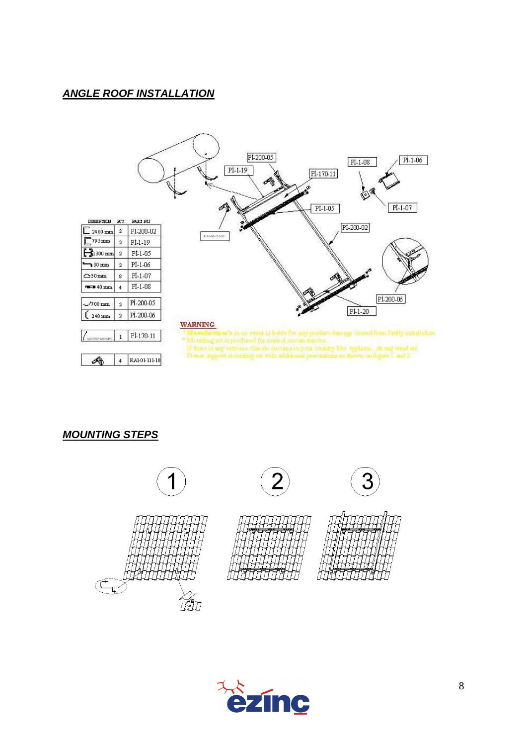### *ANGLE ROOF INSTALLATION*



*MOUNTING STEPS*



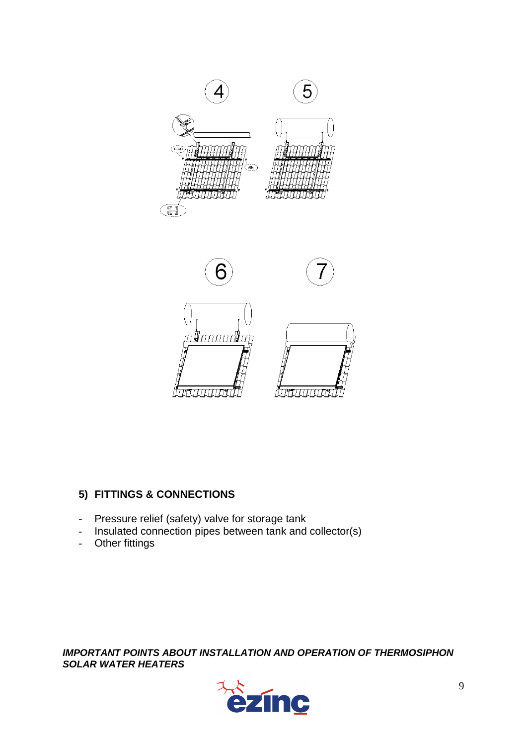

# **5) FITTINGS & CONNECTIONS**

- Pressure relief (safety) valve for storage tank
- Insulated connection pipes between tank and collector(s)
- Other fittings

*IMPORTANT POINTS ABOUT INSTALLATION AND OPERATION OF THERMOSIPHON SOLAR WATER HEATERS*